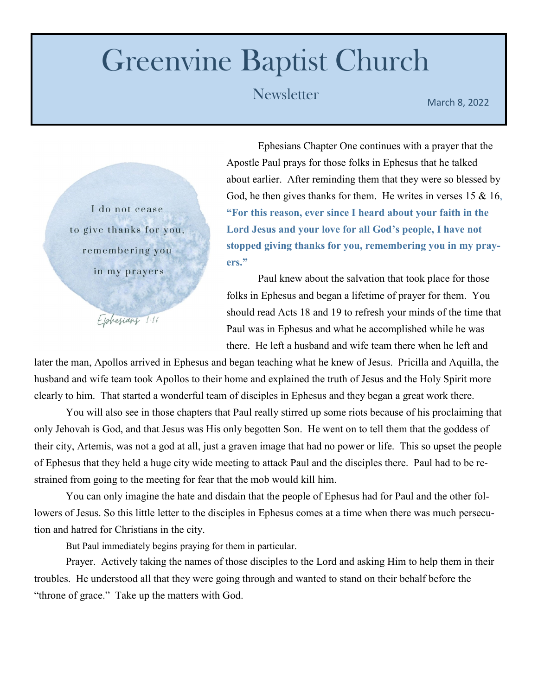## Greenvine Baptist Church

## Newsletter March 8, 2022

I do not cease to give thanks for you, remembering you in my prayers

Elphesians 1:16

Ephesians Chapter One continues with a prayer that the Apostle Paul prays for those folks in Ephesus that he talked about earlier. After reminding them that they were so blessed by God, he then gives thanks for them. He writes in verses  $15 \& 16$ , **"For this reason, ever since I heard about your faith in the Lord Jesus and your love for all God's people, I have not stopped giving thanks for you, remembering you in my prayers."**

Paul knew about the salvation that took place for those folks in Ephesus and began a lifetime of prayer for them. You should read Acts 18 and 19 to refresh your minds of the time that Paul was in Ephesus and what he accomplished while he was there. He left a husband and wife team there when he left and

later the man, Apollos arrived in Ephesus and began teaching what he knew of Jesus. Pricilla and Aquilla, the husband and wife team took Apollos to their home and explained the truth of Jesus and the Holy Spirit more clearly to him. That started a wonderful team of disciples in Ephesus and they began a great work there.

You will also see in those chapters that Paul really stirred up some riots because of his proclaiming that only Jehovah is God, and that Jesus was His only begotten Son. He went on to tell them that the goddess of their city, Artemis, was not a god at all, just a graven image that had no power or life. This so upset the people of Ephesus that they held a huge city wide meeting to attack Paul and the disciples there. Paul had to be restrained from going to the meeting for fear that the mob would kill him.

You can only imagine the hate and disdain that the people of Ephesus had for Paul and the other followers of Jesus. So this little letter to the disciples in Ephesus comes at a time when there was much persecution and hatred for Christians in the city.

But Paul immediately begins praying for them in particular.

Prayer. Actively taking the names of those disciples to the Lord and asking Him to help them in their troubles. He understood all that they were going through and wanted to stand on their behalf before the "throne of grace." Take up the matters with God.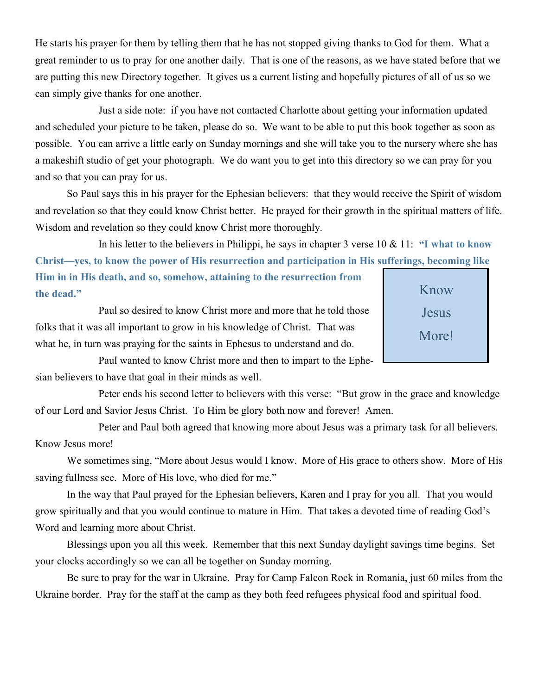He starts his prayer for them by telling them that he has not stopped giving thanks to God for them. What a great reminder to us to pray for one another daily. That is one of the reasons, as we have stated before that we are putting this new Directory together. It gives us a current listing and hopefully pictures of all of us so we can simply give thanks for one another.

Just a side note: if you have not contacted Charlotte about getting your information updated and scheduled your picture to be taken, please do so. We want to be able to put this book together as soon as possible. You can arrive a little early on Sunday mornings and she will take you to the nursery where she has a makeshift studio of get your photograph. We do want you to get into this directory so we can pray for you and so that you can pray for us.

So Paul says this in his prayer for the Ephesian believers: that they would receive the Spirit of wisdom and revelation so that they could know Christ better. He prayed for their growth in the spiritual matters of life. Wisdom and revelation so they could know Christ more thoroughly.

In his letter to the believers in Philippi, he says in chapter 3 verse 10 & 11: **"I what to know Christ—yes, to know the power of His resurrection and participation in His sufferings, becoming like** 

**Him in in His death, and so, somehow, attaining to the resurrection from the dead."**

Paul so desired to know Christ more and more that he told those folks that it was all important to grow in his knowledge of Christ. That was what he, in turn was praying for the saints in Ephesus to understand and do.

Know Jesus More!

Paul wanted to know Christ more and then to impart to the Ephesian believers to have that goal in their minds as well.

Peter ends his second letter to believers with this verse: "But grow in the grace and knowledge of our Lord and Savior Jesus Christ. To Him be glory both now and forever! Amen.

Peter and Paul both agreed that knowing more about Jesus was a primary task for all believers. Know Jesus more!

We sometimes sing, "More about Jesus would I know. More of His grace to others show. More of His saving fullness see. More of His love, who died for me."

In the way that Paul prayed for the Ephesian believers, Karen and I pray for you all. That you would grow spiritually and that you would continue to mature in Him. That takes a devoted time of reading God's Word and learning more about Christ.

Blessings upon you all this week. Remember that this next Sunday daylight savings time begins. Set your clocks accordingly so we can all be together on Sunday morning.

Be sure to pray for the war in Ukraine. Pray for Camp Falcon Rock in Romania, just 60 miles from the Ukraine border. Pray for the staff at the camp as they both feed refugees physical food and spiritual food.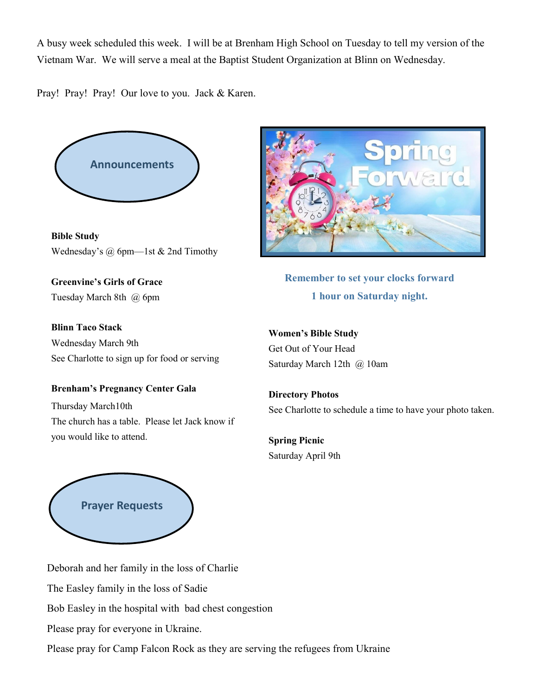A busy week scheduled this week. I will be at Brenham High School on Tuesday to tell my version of the Vietnam War. We will serve a meal at the Baptist Student Organization at Blinn on Wednesday.

Pray! Pray! Pray! Our love to you. Jack & Karen.



**Bible Study** Wednesday's @ 6pm—1st & 2nd Timothy

**Greenvine's Girls of Grace** Tuesday March 8th @ 6pm

**Blinn Taco Stack** Wednesday March 9th See Charlotte to sign up for food or serving

**Remember to set your clocks forward 1 hour on Saturday night.**

**Women's Bible Study** Get Out of Your Head Saturday March 12th @ 10am

**Brenham's Pregnancy Center Gala**  Thursday March10th The church has a table. Please let Jack know if you would like to attend.

**Directory Photos** See Charlotte to schedule a time to have your photo taken.

**Spring Picnic** Saturday April 9th



Deborah and her family in the loss of Charlie The Easley family in the loss of Sadie Bob Easley in the hospital with bad chest congestion Please pray for everyone in Ukraine. Please pray for Camp Falcon Rock as they are serving the refugees from Ukraine